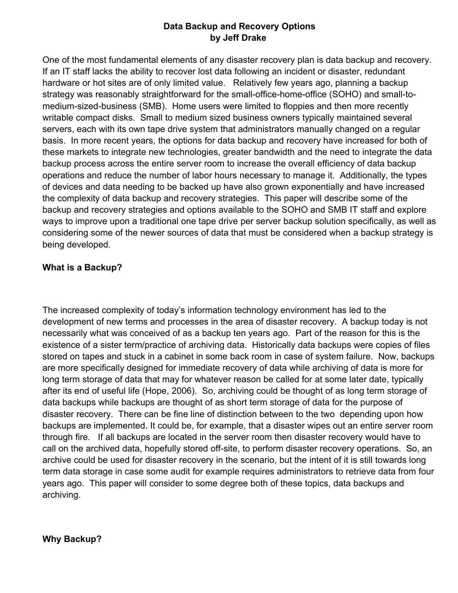# **Data Backup and Recovery Options by Jeff Drake**

One of the most fundamental elements of any disaster recovery plan is data backup and recovery. If an IT staff lacks the ability to recover lost data following an incident or disaster, redundant hardware or hot sites are of only limited value. Relatively few years ago, planning a backup strategy was reasonably straightforward for the small-office-home-office (SOHO) and small-tomedium-sized-business (SMB). Home users were limited to floppies and then more recently writable compact disks. Small to medium sized business owners typically maintained several servers, each with its own tape drive system that administrators manually changed on a regular basis. In more recent years, the options for data backup and recovery have increased for both of these markets to integrate new technologies, greater bandwidth and the need to integrate the data backup process across the entire server room to increase the overall efficiency of data backup operations and reduce the number of labor hours necessary to manage it. Additionally, the types of devices and data needing to be backed up have also grown exponentially and have increased the complexity of data backup and recovery strategies. This paper will describe some of the backup and recovery strategies and options available to the SOHO and SMB IT staff and explore ways to improve upon a traditional one tape drive per server backup solution specifically, as well as considering some of the newer sources of data that must be considered when a backup strategy is being developed.

# **What is a Backup?**

The increased complexity of today's information technology environment has led to the development of new terms and processes in the area of disaster recovery. A backup today is not necessarily what was conceived of as a backup ten years ago. Part of the reason for this is the existence of a sister term/practice of archiving data. Historically data backups were copies of files stored on tapes and stuck in a cabinet in some back room in case of system failure. Now, backups are more specifically designed for immediate recovery of data while archiving of data is more for long term storage of data that may for whatever reason be called for at some later date, typically after its end of useful life (Hope, 2006). So, archiving could be thought of as long term storage of data backups while backups are thought of as short term storage of data for the purpose of disaster recovery. There can be fine line of distinction between to the two depending upon how backups are implemented. It could be, for example, that a disaster wipes out an entire server room through fire. If all backups are located in the server room then disaster recovery would have to call on the archived data, hopefully stored off-site, to perform disaster recovery operations. So, an archive could be used for disaster recovery in the scenario, but the intent of it is still towards long term data storage in case some audit for example requires administrators to retrieve data from four years ago. This paper will consider to some degree both of these topics, data backups and archiving.

### **Why Backup?**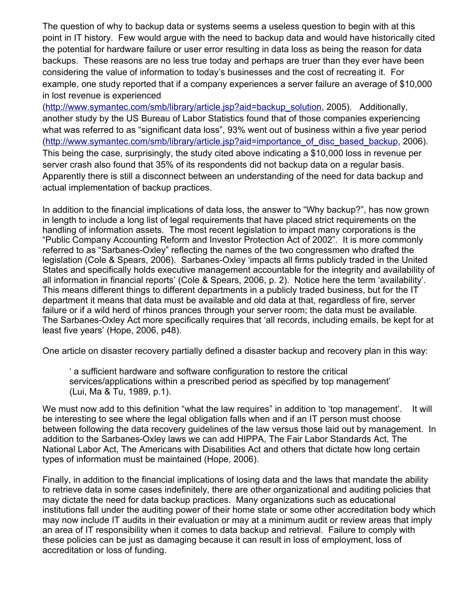The question of why to backup data or systems seems a useless question to begin with at this point in IT history. Few would argue with the need to backup data and would have historically cited the potential for hardware failure or user error resulting in data loss as being the reason for data backups. These reasons are no less true today and perhaps are truer than they ever have been considering the value of information to today's businesses and the cost of recreating it. For example, one study reported that if a company experiences a server failure an average of \$10,000 in lost revenue is experienced

[\(http://www.symantec.com/smb/library/article.jsp?aid=backup\\_solution,](http://www.symantec.com/smb/library/article.jsp?aid=backup_solution) 2005). Additionally, another study by the US Bureau of Labor Statistics found that of those companies experiencing what was referred to as "significant data loss", 93% went out of business within a five year period [\(http://www.symantec.com/smb/library/article.jsp?aid=importance\\_of\\_disc\\_based\\_backup,](http://www.symantec.com/smb/library/article.jsp?aid=importance_of_disc_based_backup) 2006). This being the case, surprisingly, the study cited above indicating a \$10,000 loss in revenue per server crash also found that 35% of its respondents did not backup data on a regular basis. Apparently there is still a disconnect between an understanding of the need for data backup and actual implementation of backup practices.

In addition to the financial implications of data loss, the answer to "Why backup?", has now grown in length to include a long list of legal requirements that have placed strict requirements on the handling of information assets. The most recent legislation to impact many corporations is the "Public Company Accounting Reform and Investor Protection Act of 2002". It is more commonly referred to as "Sarbanes-Oxley" reflecting the names of the two congressmen who drafted the legislation (Cole & Spears, 2006). Sarbanes-Oxley 'impacts all firms publicly traded in the United States and specifically holds executive management accountable for the integrity and availability of all information in financial reports' (Cole & Spears, 2006, p. 2). Notice here the term 'availability'. This means different things to different departments in a publicly traded business, but for the IT department it means that data must be available and old data at that, regardless of fire, server failure or if a wild herd of rhinos prances through your server room; the data must be available. The Sarbanes-Oxley Act more specifically requires that 'all records, including emails, be kept for at least five years' (Hope, 2006, p48).

One article on disaster recovery partially defined a disaster backup and recovery plan in this way:

' a sufficient hardware and software configuration to restore the critical services/applications within a prescribed period as specified by top management' (Lui, Ma & Tu, 1989, p.1).

We must now add to this definition "what the law requires" in addition to 'top management'. It will be interesting to see where the legal obligation falls when and if an IT person must choose between following the data recovery guidelines of the law versus those laid out by management. In addition to the Sarbanes-Oxley laws we can add HIPPA, The Fair Labor Standards Act, The National Labor Act, The Americans with Disabilities Act and others that dictate how long certain types of information must be maintained (Hope, 2006).

Finally, in addition to the financial implications of losing data and the laws that mandate the ability to retrieve data in some cases indefinitely, there are other organizational and auditing policies that may dictate the need for data backup practices. Many organizations such as educational institutions fall under the auditing power of their home state or some other accreditation body which may now include IT audits in their evaluation or may at a minimum audit or review areas that imply an area of IT responsibility when it comes to data backup and retrieval. Failure to comply with these policies can be just as damaging because it can result in loss of employment, loss of accreditation or loss of funding.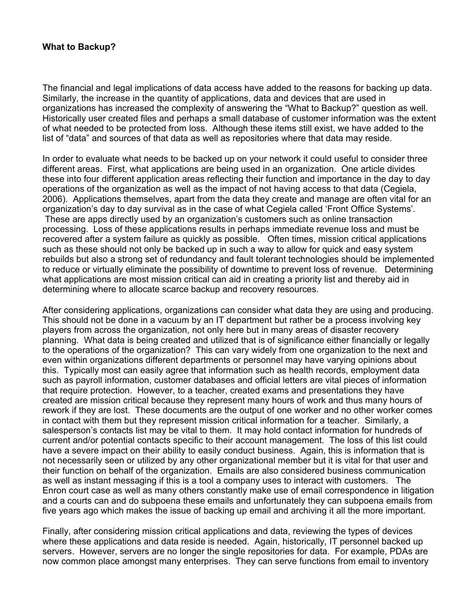## **What to Backup?**

The financial and legal implications of data access have added to the reasons for backing up data. Similarly, the increase in the quantity of applications, data and devices that are used in organizations has increased the complexity of answering the "What to Backup?" question as well. Historically user created files and perhaps a small database of customer information was the extent of what needed to be protected from loss. Although these items still exist, we have added to the list of "data" and sources of that data as well as repositories where that data may reside.

In order to evaluate what needs to be backed up on your network it could useful to consider three different areas. First, what applications are being used in an organization. One article divides these into four different application areas reflecting their function and importance in the day to day operations of the organization as well as the impact of not having access to that data (Cegiela, 2006). Applications themselves, apart from the data they create and manage are often vital for an organization's day to day survival as in the case of what Cegiela called 'Front Office Systems'. These are apps directly used by an organization's customers such as online transaction processing. Loss of these applications results in perhaps immediate revenue loss and must be recovered after a system failure as quickly as possible. Often times, mission critical applications such as these should not only be backed up in such a way to allow for quick and easy system rebuilds but also a strong set of redundancy and fault tolerant technologies should be implemented to reduce or virtually eliminate the possibility of downtime to prevent loss of revenue. Determining what applications are most mission critical can aid in creating a priority list and thereby aid in determining where to allocate scarce backup and recovery resources.

After considering applications, organizations can consider what data they are using and producing. This should not be done in a vacuum by an IT department but rather be a process involving key players from across the organization, not only here but in many areas of disaster recovery planning. What data is being created and utilized that is of significance either financially or legally to the operations of the organization? This can vary widely from one organization to the next and even within organizations different departments or personnel may have varying opinions about this. Typically most can easily agree that information such as health records, employment data such as payroll information, customer databases and official letters are vital pieces of information that require protection. However, to a teacher, created exams and presentations they have created are mission critical because they represent many hours of work and thus many hours of rework if they are lost. These documents are the output of one worker and no other worker comes in contact with them but they represent mission critical information for a teacher. Similarly, a salesperson's contacts list may be vital to them. It may hold contact information for hundreds of current and/or potential contacts specific to their account management. The loss of this list could have a severe impact on their ability to easily conduct business. Again, this is information that is not necessarily seen or utilized by any other organizational member but it is vital for that user and their function on behalf of the organization. Emails are also considered business communication as well as instant messaging if this is a tool a company uses to interact with customers. The Enron court case as well as many others constantly make use of email correspondence in litigation and a courts can and do subpoena these emails and unfortunately they can subpoena emails from five years ago which makes the issue of backing up email and archiving it all the more important.

Finally, after considering mission critical applications and data, reviewing the types of devices where these applications and data reside is needed. Again, historically, IT personnel backed up servers. However, servers are no longer the single repositories for data. For example, PDAs are now common place amongst many enterprises. They can serve functions from email to inventory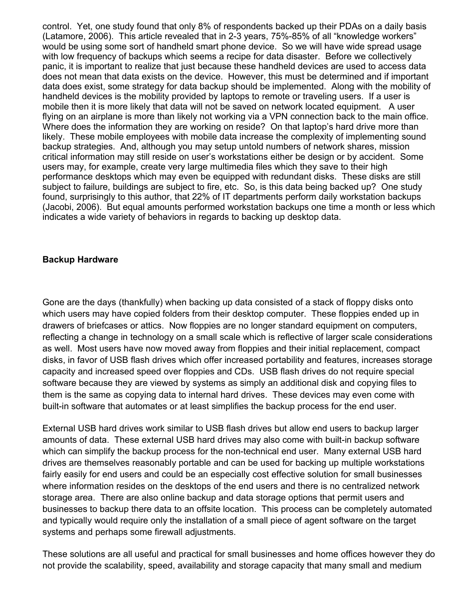control. Yet, one study found that only 8% of respondents backed up their PDAs on a daily basis (Latamore, 2006). This article revealed that in 2-3 years, 75%-85% of all "knowledge workers" would be using some sort of handheld smart phone device. So we will have wide spread usage with low frequency of backups which seems a recipe for data disaster. Before we collectively panic, it is important to realize that just because these handheld devices are used to access data does not mean that data exists on the device. However, this must be determined and if important data does exist, some strategy for data backup should be implemented. Along with the mobility of handheld devices is the mobility provided by laptops to remote or traveling users. If a user is mobile then it is more likely that data will not be saved on network located equipment. A user flying on an airplane is more than likely not working via a VPN connection back to the main office. Where does the information they are working on reside? On that laptop's hard drive more than likely. These mobile employees with mobile data increase the complexity of implementing sound backup strategies. And, although you may setup untold numbers of network shares, mission critical information may still reside on user's workstations either be design or by accident. Some users may, for example, create very large multimedia files which they save to their high performance desktops which may even be equipped with redundant disks. These disks are still subject to failure, buildings are subject to fire, etc. So, is this data being backed up? One study found, surprisingly to this author, that 22% of IT departments perform daily workstation backups (Jacobi, 2006). But equal amounts performed workstation backups one time a month or less which indicates a wide variety of behaviors in regards to backing up desktop data.

### **Backup Hardware**

Gone are the days (thankfully) when backing up data consisted of a stack of floppy disks onto which users may have copied folders from their desktop computer. These floppies ended up in drawers of briefcases or attics. Now floppies are no longer standard equipment on computers, reflecting a change in technology on a small scale which is reflective of larger scale considerations as well. Most users have now moved away from floppies and their initial replacement, compact disks, in favor of USB flash drives which offer increased portability and features, increases storage capacity and increased speed over floppies and CDs. USB flash drives do not require special software because they are viewed by systems as simply an additional disk and copying files to them is the same as copying data to internal hard drives. These devices may even come with built-in software that automates or at least simplifies the backup process for the end user.

External USB hard drives work similar to USB flash drives but allow end users to backup larger amounts of data. These external USB hard drives may also come with built-in backup software which can simplify the backup process for the non-technical end user. Many external USB hard drives are themselves reasonably portable and can be used for backing up multiple workstations fairly easily for end users and could be an especially cost effective solution for small businesses where information resides on the desktops of the end users and there is no centralized network storage area. There are also online backup and data storage options that permit users and businesses to backup there data to an offsite location. This process can be completely automated and typically would require only the installation of a small piece of agent software on the target systems and perhaps some firewall adjustments.

These solutions are all useful and practical for small businesses and home offices however they do not provide the scalability, speed, availability and storage capacity that many small and medium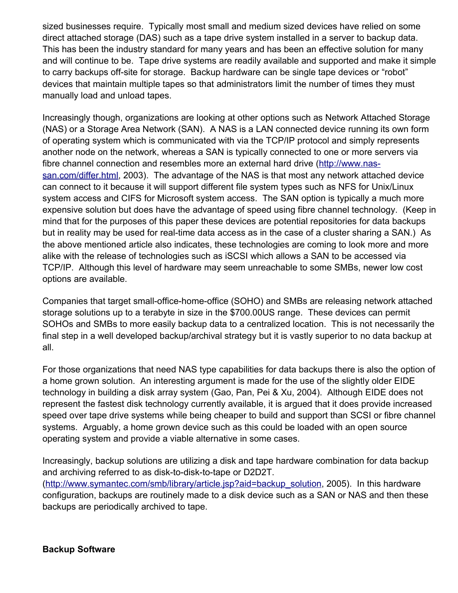sized businesses require. Typically most small and medium sized devices have relied on some direct attached storage (DAS) such as a tape drive system installed in a server to backup data. This has been the industry standard for many years and has been an effective solution for many and will continue to be. Tape drive systems are readily available and supported and make it simple to carry backups off-site for storage. Backup hardware can be single tape devices or "robot" devices that maintain multiple tapes so that administrators limit the number of times they must manually load and unload tapes.

Increasingly though, organizations are looking at other options such as Network Attached Storage (NAS) or a Storage Area Network (SAN). A NAS is a LAN connected device running its own form of operating system which is communicated with via the TCP/IP protocol and simply represents another node on the network, whereas a SAN is typically connected to one or more servers via fibre channel connection and resembles more an external hard drive [\(http://www.nas](http://www.nas-san.com/differ.html)[san.com/differ.html,](http://www.nas-san.com/differ.html) 2003). The advantage of the NAS is that most any network attached device can connect to it because it will support different file system types such as NFS for Unix/Linux system access and CIFS for Microsoft system access. The SAN option is typically a much more expensive solution but does have the advantage of speed using fibre channel technology. (Keep in mind that for the purposes of this paper these devices are potential repositories for data backups but in reality may be used for real-time data access as in the case of a cluster sharing a SAN.) As the above mentioned article also indicates, these technologies are coming to look more and more alike with the release of technologies such as iSCSI which allows a SAN to be accessed via TCP/IP. Although this level of hardware may seem unreachable to some SMBs, newer low cost options are available.

Companies that target small-office-home-office (SOHO) and SMBs are releasing network attached storage solutions up to a terabyte in size in the \$700.00US range. These devices can permit SOHOs and SMBs to more easily backup data to a centralized location. This is not necessarily the final step in a well developed backup/archival strategy but it is vastly superior to no data backup at all.

For those organizations that need NAS type capabilities for data backups there is also the option of a home grown solution. An interesting argument is made for the use of the slightly older EIDE technology in building a disk array system (Gao, Pan, Pei & Xu, 2004). Although EIDE does not represent the fastest disk technology currently available, it is argued that it does provide increased speed over tape drive systems while being cheaper to build and support than SCSI or fibre channel systems. Arguably, a home grown device such as this could be loaded with an open source operating system and provide a viable alternative in some cases.

Increasingly, backup solutions are utilizing a disk and tape hardware combination for data backup and archiving referred to as disk-to-disk-to-tape or D2D2T.

[\(http://www.symantec.com/smb/library/article.jsp?aid=backup\\_solution,](http://www.symantec.com/smb/library/article.jsp?aid=backup_solution) 2005). In this hardware configuration, backups are routinely made to a disk device such as a SAN or NAS and then these backups are periodically archived to tape.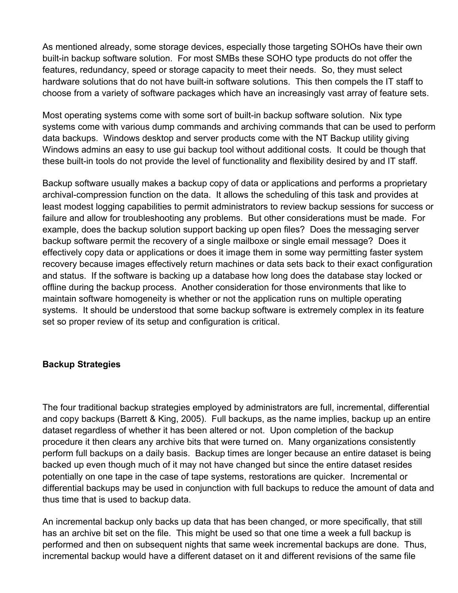As mentioned already, some storage devices, especially those targeting SOHOs have their own built-in backup software solution. For most SMBs these SOHO type products do not offer the features, redundancy, speed or storage capacity to meet their needs. So, they must select hardware solutions that do not have built-in software solutions. This then compels the IT staff to choose from a variety of software packages which have an increasingly vast array of feature sets.

Most operating systems come with some sort of built-in backup software solution. Nix type systems come with various dump commands and archiving commands that can be used to perform data backups. Windows desktop and server products come with the NT Backup utility giving Windows admins an easy to use gui backup tool without additional costs. It could be though that these built-in tools do not provide the level of functionality and flexibility desired by and IT staff.

Backup software usually makes a backup copy of data or applications and performs a proprietary archival-compression function on the data. It allows the scheduling of this task and provides at least modest logging capabilities to permit administrators to review backup sessions for success or failure and allow for troubleshooting any problems. But other considerations must be made. For example, does the backup solution support backing up open files? Does the messaging server backup software permit the recovery of a single mailboxe or single email message? Does it effectively copy data or applications or does it image them in some way permitting faster system recovery because images effectively return machines or data sets back to their exact configuration and status. If the software is backing up a database how long does the database stay locked or offline during the backup process. Another consideration for those environments that like to maintain software homogeneity is whether or not the application runs on multiple operating systems. It should be understood that some backup software is extremely complex in its feature set so proper review of its setup and configuration is critical.

### **Backup Strategies**

The four traditional backup strategies employed by administrators are full, incremental, differential and copy backups (Barrett & King, 2005). Full backups, as the name implies, backup up an entire dataset regardless of whether it has been altered or not. Upon completion of the backup procedure it then clears any archive bits that were turned on. Many organizations consistently perform full backups on a daily basis. Backup times are longer because an entire dataset is being backed up even though much of it may not have changed but since the entire dataset resides potentially on one tape in the case of tape systems, restorations are quicker. Incremental or differential backups may be used in conjunction with full backups to reduce the amount of data and thus time that is used to backup data.

An incremental backup only backs up data that has been changed, or more specifically, that still has an archive bit set on the file. This might be used so that one time a week a full backup is performed and then on subsequent nights that same week incremental backups are done. Thus, incremental backup would have a different dataset on it and different revisions of the same file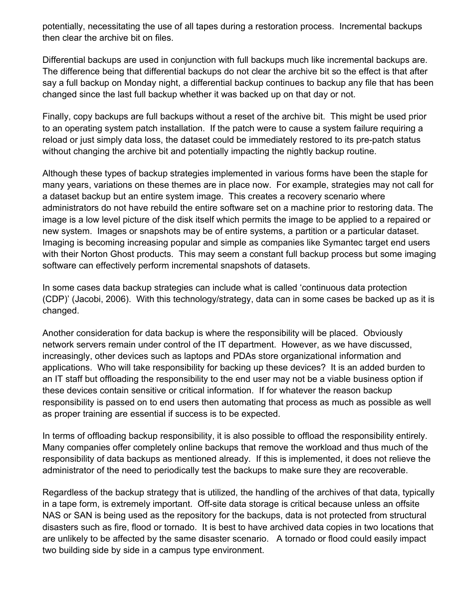potentially, necessitating the use of all tapes during a restoration process. Incremental backups then clear the archive bit on files.

Differential backups are used in conjunction with full backups much like incremental backups are. The difference being that differential backups do not clear the archive bit so the effect is that after say a full backup on Monday night, a differential backup continues to backup any file that has been changed since the last full backup whether it was backed up on that day or not.

Finally, copy backups are full backups without a reset of the archive bit. This might be used prior to an operating system patch installation. If the patch were to cause a system failure requiring a reload or just simply data loss, the dataset could be immediately restored to its pre-patch status without changing the archive bit and potentially impacting the nightly backup routine.

Although these types of backup strategies implemented in various forms have been the staple for many years, variations on these themes are in place now. For example, strategies may not call for a dataset backup but an entire system image. This creates a recovery scenario where administrators do not have rebuild the entire software set on a machine prior to restoring data. The image is a low level picture of the disk itself which permits the image to be applied to a repaired or new system. Images or snapshots may be of entire systems, a partition or a particular dataset. Imaging is becoming increasing popular and simple as companies like Symantec target end users with their Norton Ghost products. This may seem a constant full backup process but some imaging software can effectively perform incremental snapshots of datasets.

In some cases data backup strategies can include what is called 'continuous data protection (CDP)' (Jacobi, 2006). With this technology/strategy, data can in some cases be backed up as it is changed.

Another consideration for data backup is where the responsibility will be placed. Obviously network servers remain under control of the IT department. However, as we have discussed, increasingly, other devices such as laptops and PDAs store organizational information and applications. Who will take responsibility for backing up these devices? It is an added burden to an IT staff but offloading the responsibility to the end user may not be a viable business option if these devices contain sensitive or critical information. If for whatever the reason backup responsibility is passed on to end users then automating that process as much as possible as well as proper training are essential if success is to be expected.

In terms of offloading backup responsibility, it is also possible to offload the responsibility entirely. Many companies offer completely online backups that remove the workload and thus much of the responsibility of data backups as mentioned already. If this is implemented, it does not relieve the administrator of the need to periodically test the backups to make sure they are recoverable.

Regardless of the backup strategy that is utilized, the handling of the archives of that data, typically in a tape form, is extremely important. Off-site data storage is critical because unless an offsite NAS or SAN is being used as the repository for the backups, data is not protected from structural disasters such as fire, flood or tornado. It is best to have archived data copies in two locations that are unlikely to be affected by the same disaster scenario. A tornado or flood could easily impact two building side by side in a campus type environment.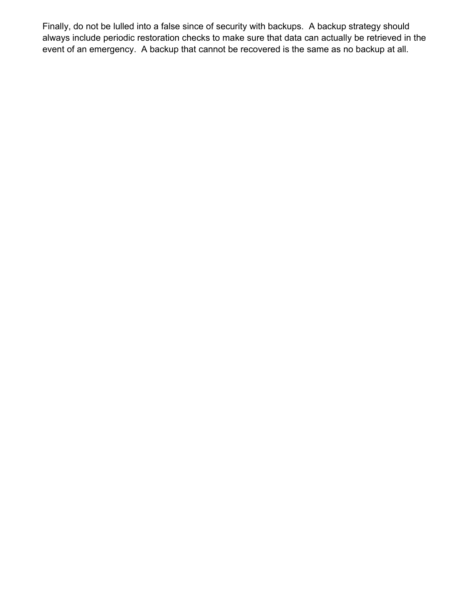Finally, do not be lulled into a false since of security with backups. A backup strategy should always include periodic restoration checks to make sure that data can actually be retrieved in the event of an emergency. A backup that cannot be recovered is the same as no backup at all.